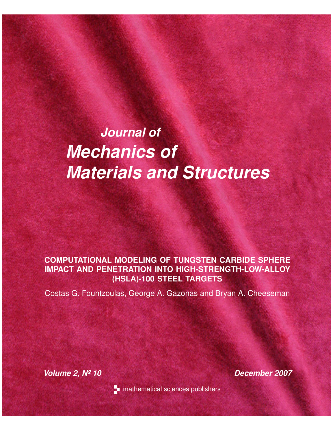# *Journal of Mechanics of Materials and Structures*

# **COMPUTATIONAL MODELING OF TUNGSTEN CARBIDE SPHERE IMPACT AND PENETRATION INTO HIGH-STRENGTH-LOW-ALLOY (HSLA)-100 STEEL TARGETS**

Costas G. Fountzoulas, George A. Gazonas and Bryan A. Cheeseman

*Volume 2, Nº 10 December 2007*



**T** mathematical sciences publishers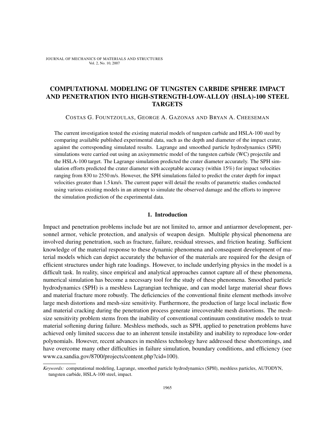# COMPUTATIONAL MODELING OF TUNGSTEN CARBIDE SPHERE IMPACT AND PENETRATION INTO HIGH-STRENGTH-LOW-ALLOY (HSLA)-100 STEEL **TARGETS**

COSTAS G. FOUNTZOULAS, GEORGE A. GAZONAS AND BRYAN A. CHEESEMAN

The current investigation tested the existing material models of tungsten carbide and HSLA-100 steel by comparing available published experimental data, such as the depth and diameter of the impact crater, against the corresponding simulated results. Lagrange and smoothed particle hydrodynamics (SPH) simulations were carried out using an axisymmetric model of the tungsten carbide (WC) projectile and the HSLA-100 target. The Lagrange simulation predicted the crater diameter accurately. The SPH simulation efforts predicted the crater diameter with acceptable accuracy (within 15%) for impact velocities ranging from 830 to 2550 m/s. However, the SPH simulations failed to predict the crater depth for impact velocities greater than 1.5 km/s. The current paper will detail the results of parametric studies conducted using various existing models in an attempt to simulate the observed damage and the efforts to improve the simulation prediction of the experimental data.

## 1. Introduction

Impact and penetration problems include but are not limited to, armor and antiarmor development, personnel armor, vehicle protection, and analysis of weapon design. Multiple physical phenomena are involved during penetration, such as fracture, failure, residual stresses, and friction heating. Sufficient knowledge of the material response to these dynamic phenomena and consequent development of material models which can depict accurately the behavior of the materials are required for the design of efficient structures under high rate loadings. However, to include underlying physics in the model is a difficult task. In reality, since empirical and analytical approaches cannot capture all of these phenomena, numerical simulation has become a necessary tool for the study of these phenomena. Smoothed particle hydrodynamics (SPH) is a meshless Lagrangian technique, and can model large material shear flows and material fracture more robustly. The deficiencies of the conventional finite element methods involve large mesh distortions and mesh-size sensitivity. Furthermore, the production of large local inelastic flow and material cracking during the penetration process generate irrecoverable mesh distortions. The meshsize sensitivity problem stems from the inability of conventional continuum constitutive models to treat material softening during failure. Meshless methods, such as SPH, applied to penetration problems have achieved only limited success due to an inherent tensile instability and inability to reproduce low-order polynomials. However, recent advances in meshless technology have addressed these shortcomings, and have overcome many other difficulties in failure simulation, boundary conditions, and efficiency (see www.ca.sandia.gov/8700/projects/content.php?cid=100).

*Keywords:* computational modeling, Lagrange, smoothed particle hydrodynamics (SPH), meshless particles, AUTODYN, tungsten carbide, HSLA-100 steel, impact.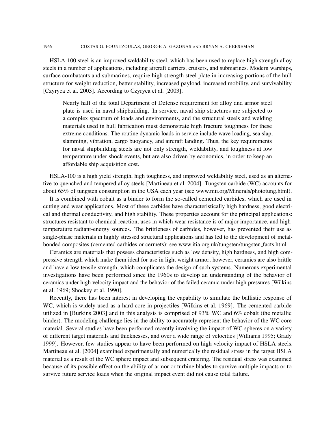HSLA-100 steel is an improved weldability steel, which has been used to replace high strength alloy steels in a number of applications, including aircraft carriers, cruisers, and submarines. Modern warships, surface combatants and submarines, require high strength steel plate in increasing portions of the hull structure for weight reduction, better stability, increased payload, increased mobility, and survivability [Czyryca et al. 2003]. According to Czyryca et al. [2003],

Nearly half of the total Department of Defense requirement for alloy and armor steel plate is used in naval shipbuilding. In service, naval ship structures are subjected to a complex spectrum of loads and environments, and the structural steels and welding materials used in hull fabrication must demonstrate high fracture toughness for these extreme conditions. The routine dynamic loads in service include wave loading, sea slap, slamming, vibration, cargo buoyancy, and aircraft landing. Thus, the key requirements for naval shipbuilding steels are not only strength, weldability, and toughness at low temperature under shock events, but are also driven by economics, in order to keep an affordable ship acquisition cost.

HSLA-100 is a high yield strength, high toughness, and improved weldability steel, used as an alternative to quenched and tempered alloy steels [Martineau et al. 2004]. Tungsten carbide (WC) accounts for about 65% of tungsten consumption in the USA each year (see www.mii.org/Minerals/phototung.html).

It is combined with cobalt as a binder to form the so-called cemented carbides, which are used in cutting and wear applications. Most of these carbides have characteristically high hardness, good electrical and thermal conductivity, and high stability. These properties account for the principal applications: structures resistant to chemical reaction, uses in which wear resistance is of major importance, and hightemperature radiant-energy sources. The brittleness of carbides, however, has prevented their use as single-phase materials in highly stressed structural applications and has led to the development of metalbonded composites (cemented carbides or cermets); see www.itia.org.uk/tungsten/tungsten facts.html.

Ceramics are materials that possess characteristics such as low density, high hardness, and high compressive strength which make them ideal for use in light weight armor; however, ceramics are also brittle and have a low tensile strength, which complicates the design of such systems. Numerous experimental investigations have been performed since the 1960s to develop an understanding of the behavior of ceramics under high velocity impact and the behavior of the failed ceramic under high pressures [Wilkins et al. 1969; Shockey et al. 1990].

Recently, there has been interest in developing the capability to simulate the ballistic response of WC, which is widely used as a hard core in projectiles [Wilkins et al. 1969]. The cemented carbide utilized in [Burkins 2003] and in this analysis is comprised of 93% WC and 6% cobalt (the metallic binder). The modeling challenge lies in the ability to accurately represent the behavior of the WC core material. Several studies have been performed recently involving the impact of WC spheres on a variety of different target materials and thicknesses, and over a wide range of velocities [Williams 1995; Grady 1999]. However, few studies appear to have been performed on high velocity impact of HSLA steels. Martineau et al. [2004] examined experimentally and numerically the residual stress in the target HSLA material as a result of the WC sphere impact and subsequent cratering. The residual stress was examined because of its possible effect on the ability of armor or turbine blades to survive multiple impacts or to survive future service loads when the original impact event did not cause total failure.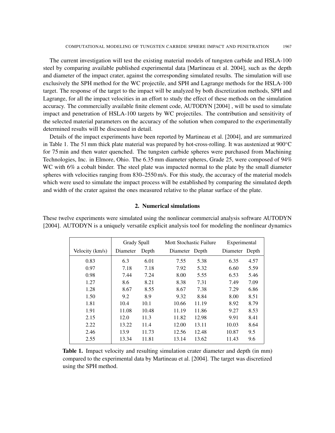The current investigation will test the existing material models of tungsten carbide and HSLA-100 steel by comparing available published experimental data [Martineau et al. 2004], such as the depth and diameter of the impact crater, against the corresponding simulated results. The simulation will use exclusively the SPH method for the WC projectile, and SPH and Lagrange methods for the HSLA-100 target. The response of the target to the impact will be analyzed by both discretization methods, SPH and Lagrange, for all the impact velocities in an effort to study the effect of these methods on the simulation accuracy. The commercially available finite element code, AUTODYN [2004] , will be used to simulate impact and penetration of HSLA-100 targets by WC projectiles. The contribution and sensitivity of the selected material parameters on the accuracy of the solution when compared to the experimentally determined results will be discussed in detail.

Details of the impact experiments have been reported by Martineau et al. [2004], and are summarized in Table 1. The 51 mm thick plate material was prepared by hot-cross-rolling. It was austenized at 900◦C for 75 min and then water quenched. The tungsten carbide spheres were purchased from Machining Technologies, Inc. in Elmore, Ohio. The 6.35 mm diameter spheres, Grade 25, were composed of 94% WC with 6% a cobalt binder. The steel plate was impacted normal to the plate by the small diameter spheres with velocities ranging from 830–2550 m/s. For this study, the accuracy of the material models which were used to simulate the impact process will be established by comparing the simulated depth and width of the crater against the ones measured relative to the planar surface of the plate.

# 2. Numerical simulations

These twelve experiments were simulated using the nonlinear commercial analysis software AUTODYN [2004]. AUTODYN is a uniquely versatile explicit analysis tool for modeling the nonlinear dynamics

|                 | Grady Spall |       | Mott Stochastic Failure |       | Experimental   |      |
|-----------------|-------------|-------|-------------------------|-------|----------------|------|
| Velocity (km/s) | Diameter    | Depth | Diameter Depth          |       | Diameter Depth |      |
| 0.83            | 6.3         | 6.01  | 7.55                    | 5.38  | 6.35           | 4.57 |
| 0.97            | 7.18        | 7.18  | 7.92                    | 5.32  | 6.60           | 5.59 |
| 0.98            | 7.44        | 7.24  | 8.00                    | 5.55  | 6.53           | 5.46 |
| 1.27            | 8.6         | 8.21  | 8.38                    | 7.31  | 7.49           | 7.09 |
| 1.28            | 8.67        | 8.55  | 8.67                    | 7.38  | 7.29           | 6.86 |
| 1.50            | 9.2         | 8.9   | 9.32                    | 8.84  | 8.00           | 8.51 |
| 1.81            | 10.4        | 10.1  | 10.66                   | 11.19 | 8.92           | 8.79 |
| 1.91            | 11.08       | 10.48 | 11.19                   | 11.86 | 9.27           | 8.53 |
| 2.15            | 12.0        | 11.3  | 11.82                   | 12.98 | 9.91           | 8.41 |
| 2.22            | 13.22       | 11.4  | 12.00                   | 13.11 | 10.03          | 8.64 |
| 2.46            | 13.9        | 11.73 | 12.56                   | 12.48 | 10.87          | 9.5  |
| 2.55            | 13.34       | 11.81 | 13.14                   | 13.62 | 11.43          | 9.6  |

Table 1. Impact velocity and resulting simulation crater diameter and depth (in mm) compared to the experimental data by Martineau et al. [2004]. The target was discretized using the SPH method.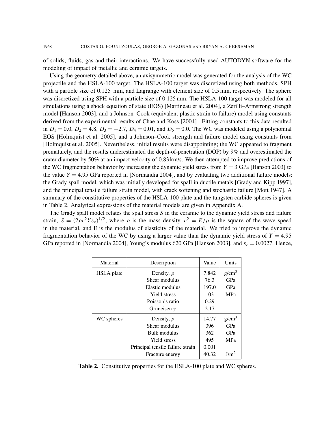of solids, fluids, gas and their interactions. We have successfully used AUTODYN software for the modeling of impact of metallic and ceramic targets.

Using the geometry detailed above, an axisymmetric model was generated for the analysis of the WC projectile and the HSLA-100 target. The HSLA-100 target was discretized using both methods, SPH with a particle size of 0.125 mm, and Lagrange with element size of 0.5 mm, respectively. The sphere was discretized using SPH with a particle size of 0.125 mm. The HSLA-100 target was modeled for all simulations using a shock equation of state (EOS) [Martineau et al. 2004], a Zerilli–Armstrong strength model [Hanson 2003], and a Johnson–Cook (equivalent plastic strain to failure) model using constants derived from the experimental results of Chae and Koss [2004] . Fitting constants to this data resulted in  $D_1 = 0.0$ ,  $D_2 = 4.8$ ,  $D_3 = -2.7$ ,  $D_4 = 0.01$ , and  $D_5 = 0.0$ . The WC was modeled using a polynomial EOS [Holmquist et al. 2005], and a Johnson–Cook strength and failure model using constants from [Holmquist et al. 2005]. Nevertheless, initial results were disappointing; the WC appeared to fragment prematurely, and the results underestimated the depth-of-penetration (DOP) by 9% and overestimated the crater diameter by 50% at an impact velocity of 0.83 km/s. We then attempted to improve predictions of the WC fragmentation behavior by increasing the dynamic yield stress from  $Y = 3$  GPa [Hanson 2003] to the value  $Y = 4.95$  GPa reported in [Normandia 2004], and by evaluating two additional failure models: the Grady spall model, which was initially developed for spall in ductile metals [Grady and Kipp 1997], and the principal tensile failure strain model, with crack softening and stochastic failure [Mott 1947]. A summary of the constitutive properties of the HSLA-100 plate and the tungsten carbide spheres is given in Table 2. Analytical expressions of the material models are given in Appendix A.

The Grady spall model relates the spall stress *S* in the ceramic to the dynamic yield stress and failure strain,  $S = (2\rho c^2 Y \varepsilon_c)^{1/2}$ , where  $\rho$  is the mass density,  $c^2 = E/\rho$  is the square of the wave speed in the material, and E is the modulus of elasticity of the material. We tried to improve the dynamic fragmentation behavior of the WC by using a larger value than the dynamic yield stress of  $Y = 4.95$ GPa reported in [Normandia 2004], Young's modulus 620 GPa [Hanson 2003], and  $\varepsilon_c = 0.0027$ . Hence,

| Material          | Description                      | Value | Units             |
|-------------------|----------------------------------|-------|-------------------|
| <b>HSLA</b> plate | Density, $\rho$                  | 7.842 | g/cm <sup>3</sup> |
|                   | Shear modulus                    | 76.3  | GPa               |
|                   | Elastic modulus                  | 197.0 | GPa               |
|                   | <b>Yield stress</b>              | 103   | <b>MPa</b>        |
|                   | Poisson's ratio                  | 0.29  |                   |
|                   | Grüneisen $\gamma$               | 2.17  |                   |
| WC spheres        | Density, $\rho$                  | 14.77 | g/cm <sup>3</sup> |
|                   | Shear modulus                    | 396   | GPa               |
|                   | Bulk modulus                     | 362   | GPa               |
|                   | <b>Yield stress</b>              | 495   | <b>MPa</b>        |
|                   | Principal tensile failure strain | 0.001 |                   |
|                   | Fracture energy                  | 40.32 | J/m <sup>2</sup>  |

Table 2. Constitutive properties for the HSLA-100 plate and WC spheres.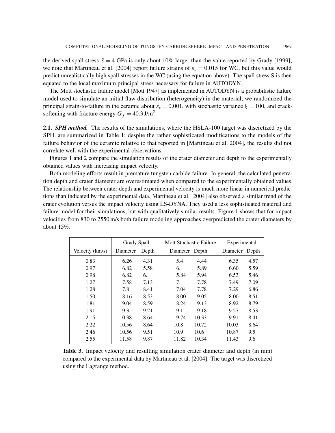the derived spall stress  $S = 4$  GPa is only about 10% larger than the value reported by Grady [1999]; we note that Martineau et al. [2004] report failure strains of  $\varepsilon_c = 0.015$  for WC, but this value would predict unrealistically high spall stresses in the WC (using the equation above). The spall stress S is then equated to the local maximum principal stress necessary for failure in AUTODYN.

The Mott stochastic failure model [Mott 1947] as implemented in AUTODYN is a probabilistic failure model used to simulate an initial flaw distribution (heterogeneity) in the material; we randomized the principal strain-to-failure in the ceramic about  $\varepsilon_c = 0.001$ , with stochastic variance  $\xi = 100$ , and cracksoftening with fracture energy  $G_f = 40.3 \text{ J/m}^2$ .

2.1. *SPH method.* The results of the simulations, where the HSLA-100 target was discretized by the SPH, are summarized in Table 1; despite the rather sophisticated modifications to the models of the failure behavior of the ceramic relative to that reported in [Martineau et al. 2004], the results did not correlate well with the experimental observations.

Figures 1 and 2 compare the simulation results of the crater diameter and depth to the experimentally obtained values with increasing impact velocity.

Both modeling efforts result in premature tungsten carbide failure. In general, the calculated penetration depth and crater diameter are overestimated when compared to the experimentally obtained values. The relationship between crater depth and experimental velocity is much more linear in numerical predictions than indicated by the experimental data. Martineau et al. [2004] also observed a similar trend of the crater evolution versus the impact velocity using LS-DYNA. They used a less sophisticated material and failure model for their simulations, but with qualitatively similar results. Figure 1 shows that for impact velocities from 830 to 2550 m/s both failure modeling approaches overpredicted the crater diameters by about  $15\%$ 

|                 | Grady Spall |       | <b>Mott Stochastic Failure</b> |       | Experimental   |      |
|-----------------|-------------|-------|--------------------------------|-------|----------------|------|
| Velocity (km/s) | Diameter    | Depth | Diameter Depth                 |       | Diameter Depth |      |
| 0.83            | 6.26        | 4.31  | 5.4                            | 4.44  | 6.35           | 4.57 |
| 0.97            | 6.82        | 5.58  | 6.                             | 5.89  | 6.60           | 5.59 |
| 0.98            | 6.82        | 6.    | 5.84                           | 5.94  | 6.53           | 5.46 |
| 1.27            | 7.58        | 7.13  | 7.                             | 7.78  | 7.49           | 7.09 |
| 1.28            | 7.8         | 8.41  | 7.04                           | 7.78  | 7.29           | 6.86 |
| 1.50            | 8.16        | 8.53  | 8.00                           | 9.05  | 8.00           | 8.51 |
| 1.81            | 9.04        | 8.59  | 8.24                           | 9.13  | 8.92           | 8.79 |
| 1.91            | 9.3         | 9.21  | 9.1                            | 9.18  | 9.27           | 8.53 |
| 2.15            | 10.38       | 8.64  | 9.74                           | 10.33 | 9.91           | 8.41 |
| 2.22            | 10.56       | 8.64  | 10.8                           | 10.72 | 10.03          | 8.64 |
| 2.46            | 10.56       | 9.51  | 10.9                           | 10.6  | 10.87          | 9.5  |
| 2.55            | 11.58       | 9.87  | 11.82                          | 10.34 | 11.43          | 9.6  |

Table 3. Impact velocity and resulting simulation crater diameter and depth (in mm) compared to the experimental data by Martineau et al. [2004]. The target was discretized using the Lagrange method.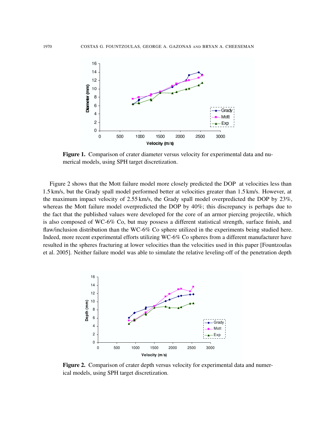

Figure 1. Comparison of crater diameter versus velocity for experimental data and numerical models, using SPH target discretization.

Figure 2 shows that the Mott failure model more closely predicted the DOP at velocities less than 1.5 km/s, but the Grady spall model performed better at velocities greater than 1.5 km/s. However, at the maximum impact velocity of 2.55 km/s, the Grady spall model overpredicted the DOP by 23%, whereas the Mott failure model overpredicted the DOP by 40%; this discrepancy is perhaps due to the fact that the published values were developed for the core of an armor piercing projectile, which is also composed of WC-6% Co, but may possess a different statistical strength, surface finish, and flaw/inclusion distribution than the WC-6% Co sphere utilized in the experiments being studied here. Indeed, more recent experimental efforts utilizing WC-6% Co spheres from a different manufacturer have resulted in the spheres fracturing at lower velocities than the velocities used in this paper [Fountzoulas et al. 2005]. Neither failure model was able to simulate the relative leveling-off of the penetration depth



Figure 2. Comparison of crater depth versus velocity for experimental data and numerical models, using SPH target discretization.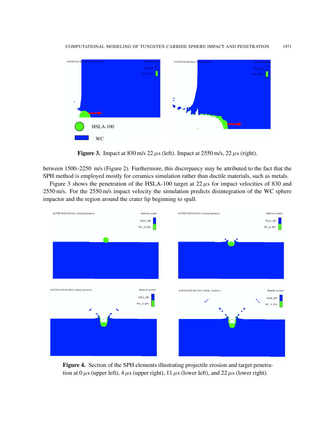

Figure 3. Impact at 830 m/s  $22 \mu s$  (left). Impact at  $2550$  m/s,  $22 \mu s$  (right).

between 1500–2250 m/s (Figure 2). Furthermore, this discrepancy may be attributed to the fact that the SPH method is employed mostly for ceramics simulation rather than ductile materials, such as metals.

Figure 3 shows the penetration of the HSLA-100 target at  $22 \mu s$  for impact velocities of 830 and 2550 m/s. For the 2550 m/s impact velocity the simulation predicts disintegration of the WC sphere impactor and the region around the crater lip beginning to spall.



Figure 4. Section of the SPH elements illustrating projectile erosion and target penetration at  $0 \mu s$  (upper left),  $4 \mu s$  (upper right),  $11 \mu s$  (lower left), and  $22 \mu s$  (lower right).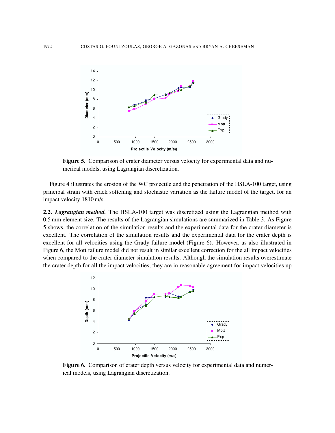

Figure 5. Comparison of crater diameter versus velocity for experimental data and numerical models, using Lagrangian discretization.

Figure 4 illustrates the erosion of the WC projectile and the penetration of the HSLA-100 target, using principal strain with crack softening and stochastic variation as the failure model of the target, for an impact velocity 1810 m/s.

2.2. *Lagrangian method.* The HSLA-100 target was discretized using the Lagrangian method with 0.5 mm element size. The results of the Lagrangian simulations are summarized in Table 3. As Figure 5 shows, the correlation of the simulation results and the experimental data for the crater diameter is excellent. The correlation of the simulation results and the experimental data for the crater depth is excellent for all velocities using the Grady failure model (Figure 6). However, as also illustrated in Figure 6, the Mott failure model did not result in similar excellent correction for the all impact velocities when compared to the crater diameter simulation results. Although the simulation results overestimate the crater depth for all the impact velocities, they are in reasonable agreement for impact velocities up



Figure 6. Comparison of crater depth versus velocity for experimental data and numerical models, using Lagrangian discretization.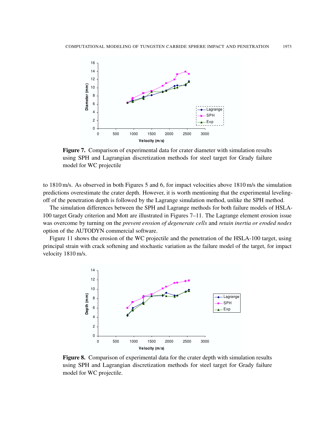

Figure 7. Comparison of experimental data for crater diameter with simulation results using SPH and Lagrangian discretization methods for steel target for Grady failure model for WC projectile

to 1810 m/s. As observed in both Figures 5 and 6, for impact velocities above 1810 m/s the simulation predictions overestimate the crater depth. However, it is worth mentioning that the experimental levelingoff of the penetration depth is followed by the Lagrange simulation method, unlike the SPH method.

The simulation differences between the SPH and Lagrange methods for both failure models of HSLA-100 target Grady criterion and Mott are illustrated in Figures 7–11. The Lagrange element erosion issue was overcome by turning on the *prevent erosion of degenerate cells* and *retain inertia or eroded nodes* option of the AUTODYN commercial software.

Figure 11 shows the erosion of the WC projectile and the penetration of the HSLA-100 target, using principal strain with crack softening and stochastic variation as the failure model of the target, for impact velocity 1810 m/s.



Figure 8. Comparison of experimental data for the crater depth with simulation results using SPH and Lagrangian discretization methods for steel target for Grady failure model for WC projectile.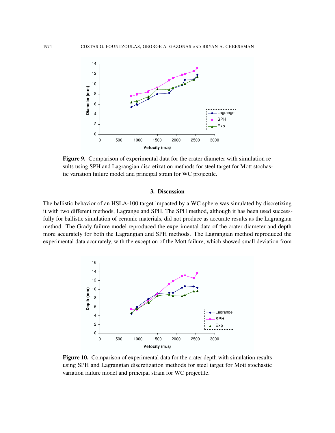

Figure 9. Comparison of experimental data for the crater diameter with simulation results using SPH and Lagrangian discretization methods for steel target for Mott stochastic variation failure model and principal strain for WC projectile.

# 3. Discussion

The ballistic behavior of an HSLA-100 target impacted by a WC sphere was simulated by discretizing it with two different methods, Lagrange and SPH. The SPH method, although it has been used successfully for ballistic simulation of ceramic materials, did not produce as accurate results as the Lagrangian method. The Grady failure model reproduced the experimental data of the crater diameter and depth more accurately for both the Lagrangian and SPH methods. The Lagrangian method reproduced the experimental data accurately, with the exception of the Mott failure, which showed small deviation from



Figure 10. Comparison of experimental data for the crater depth with simulation results using SPH and Lagrangian discretization methods for steel target for Mott stochastic variation failure model and principal strain for WC projectile.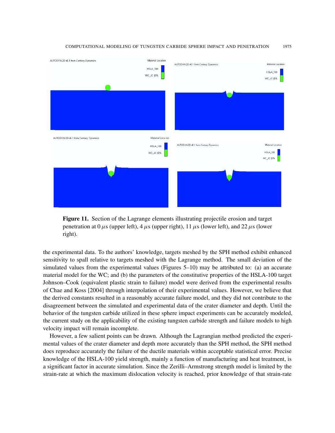

Figure 11. Section of the Lagrange elements illustrating projectile erosion and target penetration at  $0 \mu s$  (upper left),  $4 \mu s$  (upper right),  $11 \mu s$  (lower left), and  $22 \mu s$  (lower right).

the experimental data. To the authors' knowledge, targets meshed by the SPH method exhibit enhanced sensitivity to spall relative to targets meshed with the Lagrange method. The small deviation of the simulated values from the experimental values (Figures 5–10) may be attributed to: (a) an accurate material model for the WC; and (b) the parameters of the constitutive properties of the HSLA-100 target Johnson–Cook (equivalent plastic strain to failure) model were derived from the experimental results of Chae and Koss [2004] through interpolation of their experimental values. However, we believe that the derived constants resulted in a reasonably accurate failure model, and they did not contribute to the disagreement between the simulated and experimental data of the crater diameter and depth. Until the behavior of the tungsten carbide utilized in these sphere impact experiments can be accurately modeled, the current study on the applicability of the existing tungsten carbide strength and failure models to high velocity impact will remain incomplete.

However, a few salient points can be drawn. Although the Lagrangian method predicted the experimental values of the crater diameter and depth more accurately than the SPH method, the SPH method does reproduce accurately the failure of the ductile materials within acceptable statistical error. Precise knowledge of the HSLA-100 yield strength, mainly a function of manufacturing and heat treatment, is a significant factor in accurate simulation. Since the Zerilli–Armstrong strength model is limited by the strain-rate at which the maximum dislocation velocity is reached, prior knowledge of that strain-rate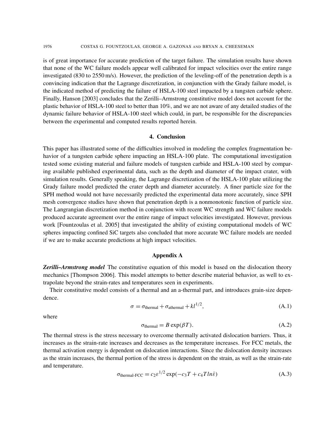is of great importance for accurate prediction of the target failure. The simulation results have shown that none of the WC failure models appear well calibrated for impact velocities over the entire range investigated (830 to 2550 m/s). However, the prediction of the leveling-off of the penetration depth is a convincing indication that the Lagrange discretization, in conjunction with the Grady failure model, is the indicated method of predicting the failure of HSLA-100 steel impacted by a tungsten carbide sphere. Finally, Hanson [2003] concludes that the Zerilli–Armstrong constitutive model does not account for the plastic behavior of HSLA-100 steel to better than 10%, and we are not aware of any detailed studies of the dynamic failure behavior of HSLA-100 steel which could, in part, be responsible for the discrepancies between the experimental and computed results reported herein.

#### 4. Conclusion

This paper has illustrated some of the difficulties involved in modeling the complex fragmentation behavior of a tungsten carbide sphere impacting an HSLA-100 plate. The computational investigation tested some existing material and failure models of tungsten carbide and HSLA-100 steel by comparing available published experimental data, such as the depth and diameter of the impact crater, with simulation results. Generally speaking, the Lagrange discretization of the HSLA-100 plate utilizing the Grady failure model predicted the crater depth and diameter accurately. A finer particle size for the SPH method would not have necessarily predicted the experimental data more accurately, since SPH mesh convergence studies have shown that penetration depth is a nonmonotonic function of particle size. The Langrangian discretization method in conjunction with recent WC strength and WC failure models produced accurate agreement over the entire range of impact velocities investigated. However, previous work [Fountzoulas et al. 2005] that investigated the ability of existing computational models of WC spheres impacting confined SiC targets also concluded that more accurate WC failure models are needed if we are to make accurate predictions at high impact velocities.

#### Appendix A

*Zerilli–Armstrong model* The constitutive equation of this model is based on the dislocation theory mechanics [Thompson 2006]. This model attempts to better describe material behavior, as well to extrapolate beyond the strain-rates and temperatures seen in experiments.

Their constitutive model consists of a thermal and an a-thermal part, and introduces grain-size dependence.

$$
\sigma = \sigma_{\text{thermal}} + \sigma_{\text{athermal}} + kl^{1/2},\tag{A.1}
$$

where

$$
\sigma_{\text{thermal}} = B \exp(\beta T). \tag{A.2}
$$

The thermal stress is the stress necessary to overcome thermally activated dislocation barriers. Thus, it increases as the strain-rate increases and decreases as the temperature increases. For FCC metals, the thermal activation energy is dependent on dislocation interactions. Since the dislocation density increases as the strain increases, the thermal portion of the stress is dependent on the strain, as well as the strain-rate and temperature.

$$
\sigma_{\text{thermal-FCC}} = c_2 \varepsilon^{1/2} \exp(-c_3 T + c_4 T ln \dot{\varepsilon}) \tag{A.3}
$$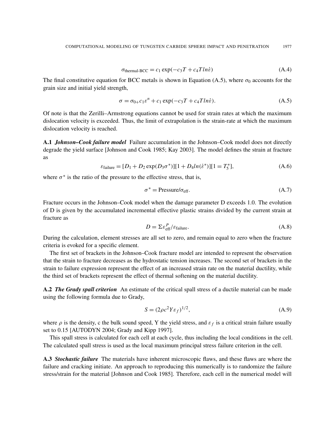$$
\sigma_{\text{thermal-BCC}} = c_1 \exp(-c_3 T + c_4 T ln \dot{\varepsilon}) \tag{A.4}
$$

The final constitutive equation for BCC metals is shown in Equation (A.5), where  $\sigma_0$  accounts for the grain size and initial yield strength,

$$
\sigma = \sigma_{0+}c_1\varepsilon^n + c_1 \exp(-c_3T + c_4T\ln\varepsilon). \tag{A.5}
$$

Of note is that the Zerilli–Armstrong equations cannot be used for strain rates at which the maximum dislocation velocity is exceeded. Thus, the limit of extrapolation is the strain-rate at which the maximum dislocation velocity is reached.

A.1 *Johnson–Cook failure model* Failure accumulation in the Johnson–Cook model does not directly degrade the yield surface [Johnson and Cook 1985; Kay 2003]. The model defines the strain at fracture as

$$
\varepsilon_{\text{failure}} = [D_1 + D_2 \exp(D_3 \sigma^*)][1 + D_4 \ln(\dot{\varepsilon}^*)][1 = T_5^*],\tag{A.6}
$$

where  $\sigma^*$  is the ratio of the pressure to the effective stress, that is,

$$
\sigma^* = \text{Pressure/}\sigma_{\text{eff}}.\tag{A.7}
$$

Fracture occurs in the Johnson–Cook model when the damage parameter D exceeds 1.0. The evolution of D is given by the accumulated incremental effective plastic strains divided by the current strain at fracture as

$$
D = \Sigma \varepsilon_{\text{eff}}^P / \varepsilon_{\text{failure}}.
$$
 (A.8)

During the calculation, element stresses are all set to zero, and remain equal to zero when the fracture criteria is evoked for a specific element.

The first set of brackets in the Johnson–Cook fracture model are intended to represent the observation that the strain to fracture decreases as the hydrostatic tension increases. The second set of brackets in the strain to failure expression represent the effect of an increased strain rate on the material ductility, while the third set of brackets represent the effect of thermal softening on the material ductility.

A.2 *The Grady spall criterion* An estimate of the critical spall stress of a ductile material can be made using the following formula due to Grady,

$$
S = (2\rho c^2 Y \varepsilon_f)^{1/2},\tag{A.9}
$$

where  $\rho$  is the density, c the bulk sound speed, Y the yield stress, and  $\varepsilon_f$  is a critical strain failure usually set to 0.15 [AUTODYN 2004; Grady and Kipp 1997].

This spall stress is calculated for each cell at each cycle, thus including the local conditions in the cell. The calculated spall stress is used as the local maximum principal stress failure criterion in the cell.

A.3 *Stochastic failure* The materials have inherent microscopic flaws, and these flaws are where the failure and cracking initiate. An approach to reproducing this numerically is to randomize the failure stress/strain for the material [Johnson and Cook 1985]. Therefore, each cell in the numerical model will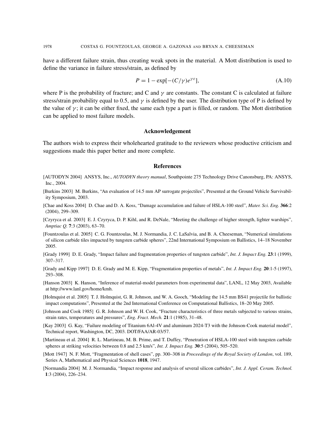have a different failure strain, thus creating weak spots in the material. A Mott distribution is used to define the variance in failure stress/strain, as defined by

$$
P = 1 - \exp[-(C/\gamma)e^{\gamma \varepsilon}], \tag{A.10}
$$

where P is the probability of fracture; and C and  $\gamma$  are constants. The constant C is calculated at failure stress/strain probability equal to 0.5, and  $\gamma$  is defined by the user. The distribution type of P is defined by the value of  $\gamma$ ; it can be either fixed, the same each type a part is filled, or random. The Mott distribution can be applied to most failure models.

### Acknowledgement

The authors wish to express their wholehearted gratitude to the reviewers whose productive criticism and suggestions made this paper better and more complete.

#### **References**

- [AUTODYN 2004] ANSYS, Inc., *AUTODYN theory manual*, Southpointe 275 Technology Drive Canonsburg, PA: ANSYS, Inc., 2004.
- [Burkins 2003] M. Burkins, "An evaluation of 14.5 mm AP surrogate projectiles", Presented at the Ground Vehicle Survivability Symposium, 2003.
- [Chae and Koss 2004] D. Chae and D. A. Koss, "Damage accumulation and failure of HSLA-100 steel", *Mater. Sci. Eng.* 366:2 (2004), 299–309.
- [Czyryca et al. 2003] E. J. Czyryca, D. P. Kihl, and R. DeNale, "Meeting the challenge of higher strength, lighter warships", *Amptiac Q.* 7:3 (2003), 63–70.
- [Fountzoulas et al. 2005] C. G. Fountzoulas, M. J. Normandia, J. C. LaSalvia, and B. A. Cheeseman, "Numerical simulations of silicon carbide tiles impacted by tungsten carbide spheres", 22nd International Symposium on Ballistics, 14–18 November 2005.
- [Grady 1999] D. E. Grady, "Impact failure and fragmentation properties of tungsten carbide", *Int. J. Impact Eng.* 23:1 (1999), 307–317.
- [Grady and Kipp 1997] D. E. Grady and M. E. Kipp, "Fragmentation properties of metals", *Int. J. Impact Eng.* 20:1-5 (1997), 293–308.
- [Hanson 2003] K. Hanson, "Inference of material-model parameters from experimental data", LANL, 12 May 2003, Available at http://www.lanl.gov/home/kmh.
- [Holmquist et al. 2005] T. J. Holmquist, G. R. Johnson, and W. A. Gooch, "Modeling the 14.5 mm BS41 projectile for ballistic impact computations", Presented at the 2nd International Conference on Computational Ballistics, 18–20 May 2005.
- [Johnson and Cook 1985] G. R. Johnson and W. H. Cook, "Fracture characteristics of three metals subjected to various strains, strain rates, temperatures and pressures", *Eng. Fract. Mech.* 21:1 (1985), 31–48.
- [Kay 2003] G. Kay, "Failure modeling of Titanium 6Al-4V and aluminum 2024-T3 with the Johnson-Cook material model", Technical report, Washington, DC, 2003. DOT/FAA/AR-03/57.
- [Martineau et al. 2004] R. L. Martineau, M. B. Prime, and T. Duffey, "Penetration of HSLA-100 steel with tungsten carbide spheres at striking velocities between 0.8 and 2.5 km/s", *Int. J. Impact Eng.* 30:5 (2004), 505–520.
- [Mott 1947] N. F. Mott, "Fragmentation of shell cases", pp. 300–308 in *Proceedings of the Royal Society of London*, vol. 189, Series A, Mathematical and Physical Sciences 1018, 1947.
- [Normandia 2004] M. J. Normandia, "Impact response and analysis of several silicon carbides", *Int. J. Appl. Ceram. Technol.* 1:3 (2004), 226–234.